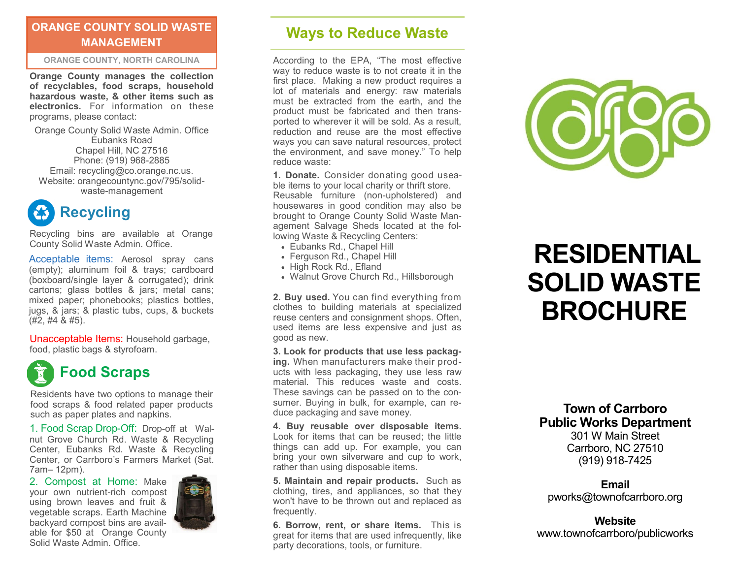### **ORANGE COUNTY SOLID WASTE MANAGEMENT**

### **ORANGE COUNTY, NORTH CAROLINA**

**Orange County manages the collection of recyclables, food scraps, household hazardous waste, & other items such as electronics.** For information on these programs, please contact:

Orange County Solid Waste Admin. Office Eubanks Road Chapel Hill, NC 27516 Phone: (919) 968-2885 Email: recycling@co.orange.nc.us. Website: orangecountync.gov/795/solidwaste-management



Recycling bins are available at Orange County Solid Waste Admin. Office.

Acceptable items: Aerosol spray cans (empty); aluminum foil & trays; cardboard (boxboard/single layer & corrugated); drink cartons; glass bottles & jars; metal cans; mixed paper; phonebooks; plastics bottles, jugs, & jars; & plastic tubs, cups, & buckets  $(#2, #4, 8, #5).$ 

Unacceptable Items: Household garbage, food, plastic bags & styrofoam.



Residents have two options to manage their food scraps & food related paper products such as paper plates and napkins.

1. Food Scrap Drop-Off: Drop-off at Walnut Grove Church Rd. Waste & Recycling Center, Eubanks Rd. Waste & Recycling Center, or Carrboro's Farmers Market (Sat. 7am– 12pm).

2. Compost at Home: Make your own nutrient-rich compost using brown leaves and fruit & vegetable scraps. Earth Machine backyard compost bins are available for \$50 at Orange County Solid Waste Admin. Office.



### **Ways to Reduce Waste**

According to the EPA, "The most effective way to reduce waste is to not create it in the first place. Making a new product requires a lot of materials and energy: raw materials must be extracted from the earth, and the product must be fabricated and then transported to wherever it will be sold. As a result, reduction and reuse are the most effective ways you can save natural resources, protect the environment, and save money." To help reduce waste:

**1. Donate.** Consider donating good useable items to your local charity or thrift store. Reusable furniture (non-upholstered) and housewares in good condition may also be brought to Orange County Solid Waste Management Salvage Sheds located at the following Waste & Recycling Centers:

- Eubanks Rd., Chapel Hill
- Ferguson Rd., Chapel Hill
- High Rock Rd., Efland
- Walnut Grove Church Rd., Hillsborough

**2. Buy used.** You can find everything from clothes to building materials at specialized reuse centers and consignment shops. Often, used items are less expensive and just as good as new.

**3. Look for products that use less packaging.** When manufacturers make their products with less packaging, they use less raw material. This reduces waste and costs. These savings can be passed on to the consumer. Buying in bulk, for example, can reduce packaging and save money.

**4. Buy reusable over disposable items.**  Look for items that can be reused; the little things can add up. For example, you can bring your own silverware and cup to work, rather than using disposable items.

**5. Maintain and repair products.** Such as clothing, tires, and appliances, so that they won't have to be thrown out and replaced as frequently.

**6. Borrow, rent, or share items.** This is great for items that are used infrequently, like party decorations, tools, or furniture.



# **RESIDENTIAL SOLID WASTE BROCHURE**

**Town of Carrboro Public Works Department** 301 W Main Street

Carrboro, NC 27510 (919) 918-7425

**Email** pworks@townofcarrboro.org

**Website** www.townofcarrboro/publicworks